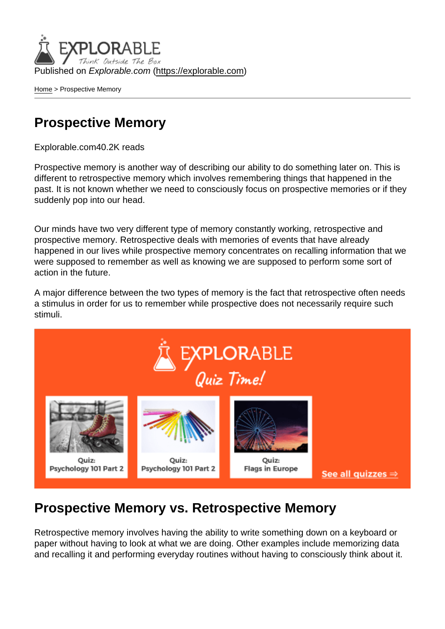Published on Explorable.com (<https://explorable.com>)

[Home](https://explorable.com/) > Prospective Memory

## Prospective Memory

Explorable.com40.2K reads

Prospective memory is another way of describing our ability to do something later on. This is different to retrospective memory which involves remembering things that happened in the past. It is not known whether we need to consciously focus on prospective memories or if they suddenly pop into our head.

Our minds have two very different type of memory constantly working, retrospective and prospective memory. Retrospective deals with memories of events that have already happened in our lives while prospective memory concentrates on recalling information that we were supposed to remember as well as knowing we are supposed to perform some sort of action in the future.

A major difference between the two types of memory is the fact that retrospective often needs a stimulus in order for us to remember while prospective does not necessarily require such stimuli.

## Prospective Memory vs. Retrospective Memory

Retrospective memory involves having the ability to write something down on a keyboard or paper without having to look at what we are doing. Other examples include memorizing data and recalling it and performing everyday routines without having to consciously think about it.